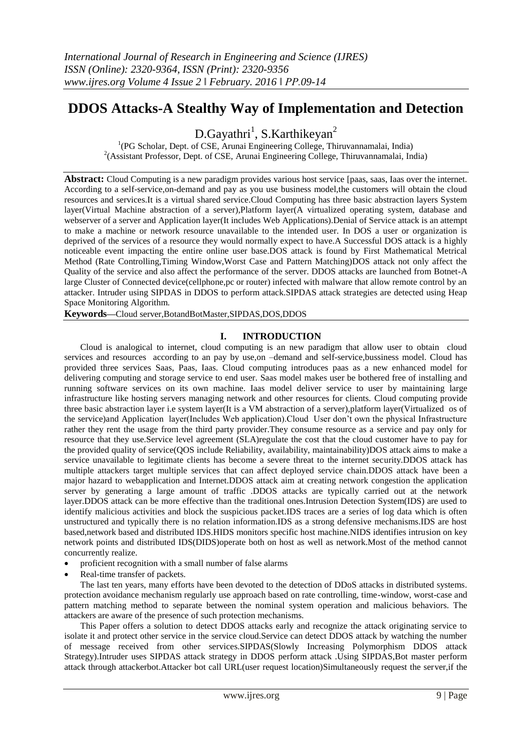# **DDOS Attacks-A Stealthy Way of Implementation and Detection**

D.Gayathri<sup>1</sup>, S.Karthikeyan<sup>2</sup>

<sup>1</sup>(PG Scholar, Dept. of CSE, Arunai Engineering College, Thiruvannamalai, India) <sup>2</sup>(Assistant Professor, Dept. of CSE, Arunai Engineering College, Thiruvannamalai, India)

**Abstract:** Cloud Computing is a new paradigm provides various host service [paas, saas, Iaas over the internet. According to a self-service,on-demand and pay as you use business model,the customers will obtain the cloud resources and services.It is a virtual shared service.Cloud Computing has three basic abstraction layers System layer(Virtual Machine abstraction of a server),Platform layer(A virtualized operating system, database and webserver of a server and Application layer(It includes Web Applications).Denial of Service attack is an attempt to make a machine or network resource unavailable to the intended user. In DOS a user or organization is deprived of the services of a resource they would normally expect to have.A Successful DOS attack is a highly noticeable event impacting the entire online user base.DOS attack is found by First Mathematical Metrical Method (Rate Controlling,Timing Window,Worst Case and Pattern Matching)DOS attack not only affect the Quality of the service and also affect the performance of the server. DDOS attacks are launched from Botnet-A large Cluster of Connected device(cellphone,pc or router) infected with malware that allow remote control by an attacker. Intruder using SIPDAS in DDOS to perform attack.SIPDAS attack strategies are detected using Heap Space Monitoring Algorithm.

**Keywords—**Cloud server,BotandBotMaster,SIPDAS,DOS,DDOS

## **I. INTRODUCTION**

Cloud is analogical to internet, cloud computing is an new paradigm that allow user to obtain cloud services and resources according to an pay by use,on –demand and self-service,bussiness model. Cloud has provided three services Saas, Paas, Iaas. Cloud computing introduces paas as a new enhanced model for delivering computing and storage service to end user. Saas model makes user be bothered free of installing and running software services on its own machine. Iaas model deliver service to user by maintaining large infrastructure like hosting servers managing network and other resources for clients. Cloud computing provide three basic abstraction layer i.e system layer(It is a VM abstraction of a server),platform layer(Virtualized os of the service)and Application layer(Includes Web application).Cloud User don"t own the physical Infrastructure rather they rent the usage from the third party provider.They consume resource as a service and pay only for resource that they use.Service level agreement (SLA)regulate the cost that the cloud customer have to pay for the provided quality of service(QOS include Reliability, availability, maintainability)DOS attack aims to make a service unavailable to legitimate clients has become a severe threat to the internet security.DDOS attack has multiple attackers target multiple services that can affect deployed service chain.DDOS attack have been a major hazard to webapplication and Internet.DDOS attack aim at creating network congestion the application server by generating a large amount of traffic .DDOS attacks are typically carried out at the network layer.DDOS attack can be more effective than the traditional ones.Intrusion Detection System(IDS) are used to identify malicious activities and block the suspicious packet.IDS traces are a series of log data which is often unstructured and typically there is no relation information.IDS as a strong defensive mechanisms.IDS are host based,network based and distributed IDS.HIDS monitors specific host machine.NIDS identifies intrusion on key network points and distributed IDS(DIDS)operate both on host as well as network.Most of the method cannot concurrently realize.

- proficient recognition with a small number of false alarms
- Real-time transfer of packets.

The last ten years, many efforts have been devoted to the detection of DDoS attacks in distributed systems. protection avoidance mechanism regularly use approach based on rate controlling, time-window, worst-case and pattern matching method to separate between the nominal system operation and malicious behaviors. The attackers are aware of the presence of such protection mechanisms.

This Paper offers a solution to detect DDOS attacks early and recognize the attack originating service to isolate it and protect other service in the service cloud.Service can detect DDOS attack by watching the number of message received from other services.SIPDAS(Slowly Increasing Polymorphism DDOS attack Strategy).Intruder uses SIPDAS attack strategy in DDOS perform attack .Using SIPDAS,Bot master perform attack through attackerbot.Attacker bot call URL(user request location)Simultaneously request the server,if the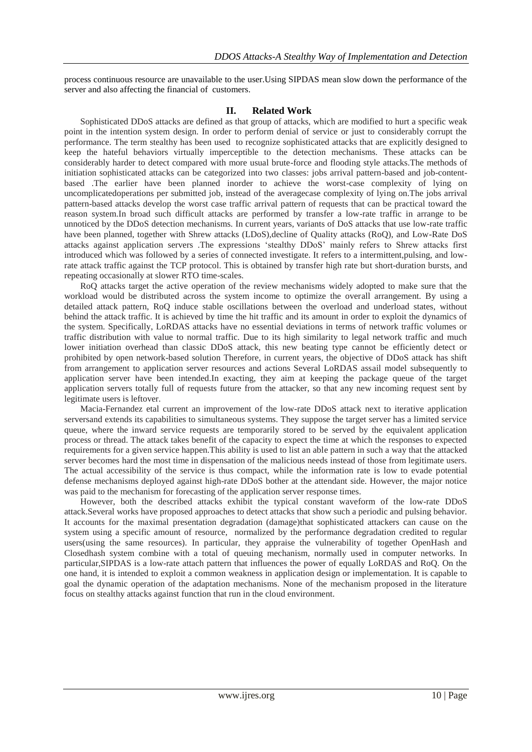process continuous resource are unavailable to the user.Using SIPDAS mean slow down the performance of the server and also affecting the financial of customers.

#### **II. Related Work**

Sophisticated DDoS attacks are defined as that group of attacks, which are modified to hurt a specific weak point in the intention system design. In order to perform denial of service or just to considerably corrupt the performance. The term stealthy has been used to recognize sophisticated attacks that are explicitly designed to keep the hateful behaviors virtually imperceptible to the detection mechanisms. These attacks can be considerably harder to detect compared with more usual brute-force and flooding style attacks.The methods of initiation sophisticated attacks can be categorized into two classes: jobs arrival pattern-based and job-contentbased .The earlier have been planned inorder to achieve the worst-case complexity of lying on uncomplicatedoperations per submitted job, instead of the averagecase complexity of lying on.The jobs arrival pattern-based attacks develop the worst case traffic arrival pattern of requests that can be practical toward the reason system.In broad such difficult attacks are performed by transfer a low-rate traffic in arrange to be unnoticed by the DDoS detection mechanisms. In current years, variants of DoS attacks that use low-rate traffic have been planned, together with Shrew attacks (LDoS),decline of Quality attacks (RoQ), and Low-Rate DoS attacks against application servers .The expressions "stealthy DDoS" mainly refers to Shrew attacks first introduced which was followed by a series of connected investigate. It refers to a intermittent,pulsing, and lowrate attack traffic against the TCP protocol. This is obtained by transfer high rate but short-duration bursts, and repeating occasionally at slower RTO time-scales.

RoQ attacks target the active operation of the review mechanisms widely adopted to make sure that the workload would be distributed across the system income to optimize the overall arrangement. By using a detailed attack pattern, RoQ induce stable oscillations between the overload and underload states, without behind the attack traffic. It is achieved by time the hit traffic and its amount in order to exploit the dynamics of the system. Specifically, LoRDAS attacks have no essential deviations in terms of network traffic volumes or traffic distribution with value to normal traffic. Due to its high similarity to legal network traffic and much lower initiation overhead than classic DDoS attack, this new beating type cannot be efficiently detect or prohibited by open network-based solution Therefore, in current years, the objective of DDoS attack has shift from arrangement to application server resources and actions Several LoRDAS assail model subsequently to application server have been intended.In exacting, they aim at keeping the package queue of the target application servers totally full of requests future from the attacker, so that any new incoming request sent by legitimate users is leftover.

Macia-Fernandez etal current an improvement of the low-rate DDoS attack next to iterative application serversand extends its capabilities to simultaneous systems. They suppose the target server has a limited service queue, where the inward service requests are temporarily stored to be served by the equivalent application process or thread. The attack takes benefit of the capacity to expect the time at which the responses to expected requirements for a given service happen.This ability is used to list an able pattern in such a way that the attacked server becomes hard the most time in dispensation of the malicious needs instead of those from legitimate users. The actual accessibility of the service is thus compact, while the information rate is low to evade potential defense mechanisms deployed against high-rate DDoS bother at the attendant side. However, the major notice was paid to the mechanism for forecasting of the application server response times.

However, both the described attacks exhibit the typical constant waveform of the low-rate DDoS attack.Several works have proposed approaches to detect attacks that show such a periodic and pulsing behavior. It accounts for the maximal presentation degradation (damage)that sophisticated attackers can cause on the system using a specific amount of resource, normalized by the performance degradation credited to regular users(using the same resources). In particular, they appraise the vulnerability of together OpenHash and Closedhash system combine with a total of queuing mechanism, normally used in computer networks. In particular,SIPDAS is a low-rate attach pattern that influences the power of equally LoRDAS and RoQ. On the one hand, it is intended to exploit a common weakness in application design or implementation. It is capable to goal the dynamic operation of the adaptation mechanisms. None of the mechanism proposed in the literature focus on stealthy attacks against function that run in the cloud environment.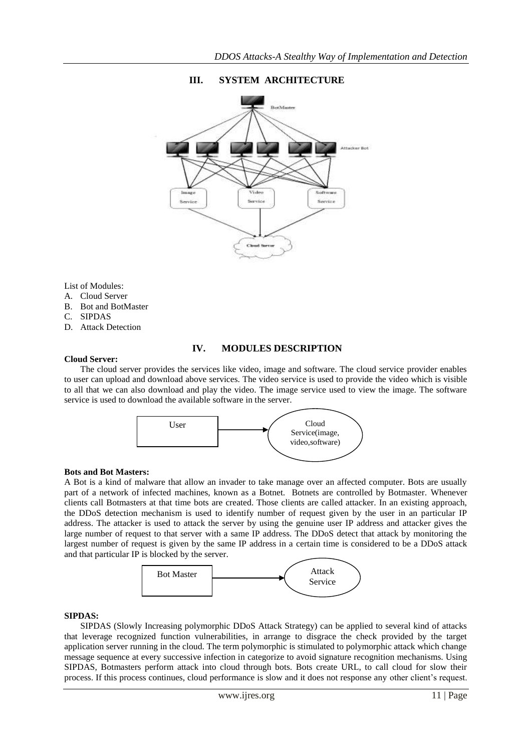

# **III. SYSTEM ARCHITECTURE**

List of Modules:

- A. Cloud Server
- B. Bot and BotMaster
- C. SIPDAS
- D. Attack Detection

## **IV. MODULES DESCRIPTION**

#### **Cloud Server:**

The cloud server provides the services like video, image and software. The cloud service provider enables to user can upload and download above services. The video service is used to provide the video which is visible to all that we can also download and play the video. The image service used to view the image. The software service is used to download the available software in the server.



#### **Bots and Bot Masters:**

A Bot is a kind of malware that allow an invader to take manage over an affected computer. Bots are usually part of a network of infected machines, known as a Botnet. Botnets are controlled by Botmaster. Whenever clients call Botmasters at that time bots are created. Those clients are called attacker. In an existing approach, the DDoS detection mechanism is used to identify number of request given by the user in an particular IP address. The attacker is used to attack the server by using the genuine user IP address and attacker gives the large number of request to that server with a same IP address. The DDoS detect that attack by monitoring the largest number of request is given by the same IP address in a certain time is considered to be a DDoS attack and that particular IP is blocked by the server.



#### **SIPDAS:**

SIPDAS (Slowly Increasing polymorphic DDoS Attack Strategy) can be applied to several kind of attacks that leverage recognized function vulnerabilities, in arrange to disgrace the check provided by the target application server running in the cloud. The term polymorphic is stimulated to polymorphic attack which change message sequence at every successive infection in categorize to avoid signature recognition mechanisms. Using SIPDAS, Botmasters perform attack into cloud through bots. Bots create URL, to call cloud for slow their process. If this process continues, cloud performance is slow and it does not response any other client"s request.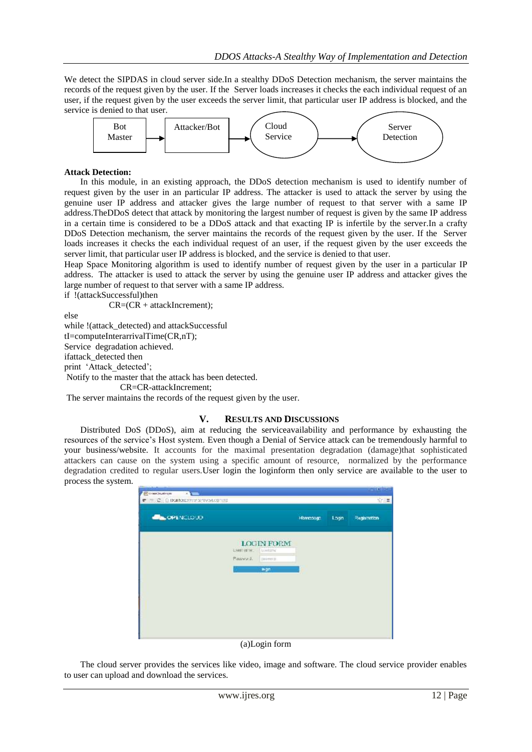We detect the SIPDAS in cloud server side.In a stealthy DDoS Detection mechanism, the server maintains the records of the request given by the user. If the Server loads increases it checks the each individual request of an user, if the request given by the user exceeds the server limit, that particular user IP address is blocked, and the service is denied to that user.



## **Attack Detection:**

In this module, in an existing approach, the DDoS detection mechanism is used to identify number of request given by the user in an particular IP address. The attacker is used to attack the server by using the genuine user IP address and attacker gives the large number of request to that server with a same IP address.TheDDoS detect that attack by monitoring the largest number of request is given by the same IP address in a certain time is considered to be a DDoS attack and that exacting IP is infertile by the server.In a crafty DDoS Detection mechanism, the server maintains the records of the request given by the user. If the Server loads increases it checks the each individual request of an user, if the request given by the user exceeds the server limit, that particular user IP address is blocked, and the service is denied to that user.

Heap Space Monitoring algorithm is used to identify number of request given by the user in a particular IP address. The attacker is used to attack the server by using the genuine user IP address and attacker gives the large number of request to that server with a same IP address.

if !(attackSuccessful)then

CR=(CR + attackIncrement);

else

while !(attack\_detected) and attackSuccessful

tI=computeInterarrivalTime(CR,nT);

Service degradation achieved.

ifattack\_detected then

print 'Attack detected';

Notify to the master that the attack has been detected.

CR=CR-attackIncrement;

The server maintains the records of the request given by the user.

#### **V. RESULTS AND DISCUSSIONS**

Distributed DoS (DDoS), aim at reducing the serviceavailability and performance by exhausting the resources of the service"s Host system. Even though a Denial of Service attack can be tremendously harmful to your business/website. It accounts for the maximal presentation degradation (damage)that sophisticated attackers can cause on the system using a specific amount of resource, normalized by the performance degradation credited to regular users.User login the loginform then only service are available to the user to process the system.

| <b>COPENCLOUD</b> |               |                                                           | Hampsogn: |      |              |
|-------------------|---------------|-----------------------------------------------------------|-----------|------|--------------|
|                   |               |                                                           |           | Logn | Registration |
|                   | LISBET ENTIRE | <b>CARD AREA CONTRACTOR</b><br>LOGIN FORM<br>Al trienance |           |      |              |
|                   | Plassworts.   | <b>ELERGY</b>                                             |           |      |              |
|                   |               | m-an-                                                     |           |      |              |

#### (a)Login form

The cloud server provides the services like video, image and software. The cloud service provider enables to user can upload and download the services.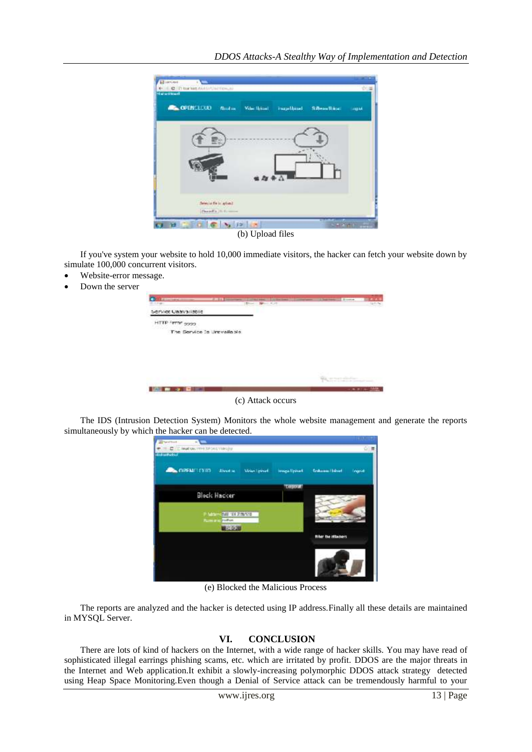

(b) Upload files

If you've system your website to hold 10,000 immediate visitors, the hacker can fetch your website down by simulate 100,000 concurrent visitors.

- Website-error message.
- Down the server

| <b>CONTRACTOR COMMENTARY PRODUCTS</b><br><b>START</b> | <b>STANDARD</b><br>$\frac{1}{2} \frac{1}{2} \frac{1}{2} \frac{1}{2} \frac{1}{2} \frac{1}{2} \frac{1}{2} \frac{1}{2} \frac{1}{2} \frac{1}{2} \frac{1}{2} \frac{1}{2} \frac{1}{2} \frac{1}{2} \frac{1}{2} \frac{1}{2} \frac{1}{2} \frac{1}{2} \frac{1}{2} \frac{1}{2} \frac{1}{2} \frac{1}{2} \frac{1}{2} \frac{1}{2} \frac{1}{2} \frac{1}{2} \frac{1}{2} \frac{1}{2} \frac{1}{2} \frac{1}{2} \frac{1}{2} \frac{$ | <b>Children comments</b><br>$-1/7$ | <b>Contractor</b> | 3. Seattle Antonio | <b>Brooking</b>                                    |  |
|-------------------------------------------------------|-----------------------------------------------------------------------------------------------------------------------------------------------------------------------------------------------------------------------------------------------------------------------------------------------------------------------------------------------------------------------------------------------------------------|------------------------------------|-------------------|--------------------|----------------------------------------------------|--|
| Service Unavailable                                   |                                                                                                                                                                                                                                                                                                                                                                                                                 |                                    |                   |                    |                                                    |  |
| <b>HTTP "PT"P"</b> 9999                               |                                                                                                                                                                                                                                                                                                                                                                                                                 |                                    |                   |                    |                                                    |  |
| The Service Is Urevailable                            |                                                                                                                                                                                                                                                                                                                                                                                                                 |                                    |                   |                    |                                                    |  |
|                                                       |                                                                                                                                                                                                                                                                                                                                                                                                                 |                                    |                   |                    |                                                    |  |
|                                                       |                                                                                                                                                                                                                                                                                                                                                                                                                 |                                    |                   |                    |                                                    |  |
|                                                       |                                                                                                                                                                                                                                                                                                                                                                                                                 |                                    |                   |                    |                                                    |  |
|                                                       |                                                                                                                                                                                                                                                                                                                                                                                                                 |                                    |                   |                    |                                                    |  |
|                                                       |                                                                                                                                                                                                                                                                                                                                                                                                                 |                                    |                   | $\frac{1}{2}$      | the price was a contractor the content and company |  |
|                                                       |                                                                                                                                                                                                                                                                                                                                                                                                                 |                                    |                   |                    | 2012/03/04                                         |  |

(c) Attack occurs

The IDS (Intrusion Detection System) Monitors the whole website management and generate the reports simultaneously by which the hacker can be detected.

| C-Enutracime separated a<br><b>Haban Februa</b> |                     |               |                           | $\Omega$ $\equiv$ |
|-------------------------------------------------|---------------------|---------------|---------------------------|-------------------|
| <b>CALCOPENATION</b><br>Alessine                | <b>Miles Spinal</b> | Impallyment   | <b>Gridcasse Hillsell</b> | Ingeld            |
|                                                 |                     | <b>Toyout</b> |                           |                   |
| <b>Block Hacker</b>                             |                     |               |                           |                   |
| March E1120511                                  |                     |               |                           |                   |
| <b><i>Mamming</i></b><br>profiles               |                     |               |                           | $20 - 14$         |
| <b>ULLOWED</b>                                  |                     |               | titer the ittagiers       |                   |
|                                                 |                     |               |                           |                   |
|                                                 |                     |               |                           |                   |
|                                                 |                     |               |                           |                   |

(e) Blocked the Malicious Process

The reports are analyzed and the hacker is detected using IP address.Finally all these details are maintained in MYSQL Server.

# **VI. CONCLUSION**

There are lots of kind of hackers on the Internet, with a wide range of hacker skills. You may have read of sophisticated illegal earrings phishing scams, etc. which are irritated by profit. DDOS are the major threats in the Internet and Web application.It exhibit a slowly-increasing polymorphic DDOS attack strategy detected using Heap Space Monitoring.Even though a Denial of Service attack can be tremendously harmful to your